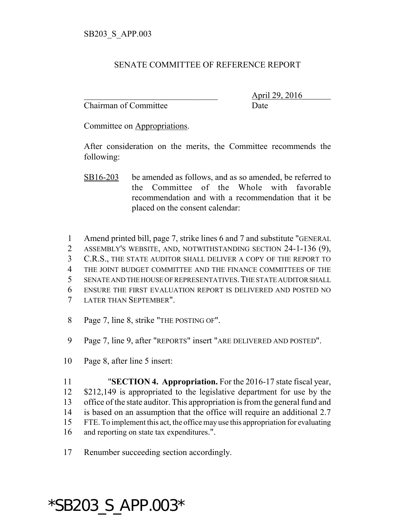## SENATE COMMITTEE OF REFERENCE REPORT

Chairman of Committee Date

\_\_\_\_\_\_\_\_\_\_\_\_\_\_\_\_\_\_\_\_\_\_\_\_\_\_\_\_\_\_\_ April 29, 2016

Committee on Appropriations.

After consideration on the merits, the Committee recommends the following:

SB16-203 be amended as follows, and as so amended, be referred to the Committee of the Whole with favorable recommendation and with a recommendation that it be placed on the consent calendar:

- 1 Amend printed bill, page 7, strike lines 6 and 7 and substitute "GENERAL
- 2 ASSEMBLY'S WEBSITE, AND, NOTWITHSTANDING SECTION 24-1-136 (9),
- 3 C.R.S., THE STATE AUDITOR SHALL DELIVER A COPY OF THE REPORT TO
- 4 THE JOINT BUDGET COMMITTEE AND THE FINANCE COMMITTEES OF THE
- 5 SENATE AND THE HOUSE OF REPRESENTATIVES.THE STATE AUDITOR SHALL
- 6 ENSURE THE FIRST EVALUATION REPORT IS DELIVERED AND POSTED NO
- 7 LATER THAN SEPTEMBER".
- 8 Page 7, line 8, strike "THE POSTING OF".
- 9 Page 7, line 9, after "REPORTS" insert "ARE DELIVERED AND POSTED".
- 10 Page 8, after line 5 insert:

 "**SECTION 4. Appropriation.** For the 2016-17 state fiscal year, \$212,149 is appropriated to the legislative department for use by the office of the state auditor. This appropriation is from the general fund and is based on an assumption that the office will require an additional 2.7 FTE. To implement this act, the office may use this appropriation for evaluating and reporting on state tax expenditures.".

17 Renumber succeeding section accordingly.

## \*SB203\_S\_APP.003\*